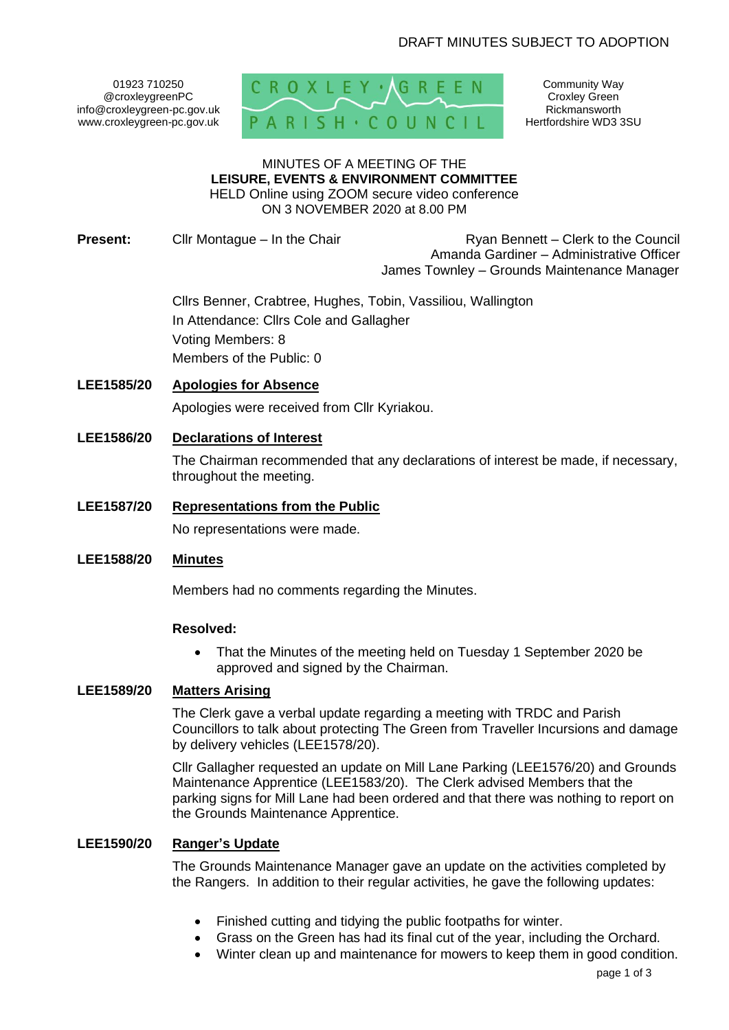01923 710250 @croxleygreenPC info@croxleygreen-pc.gov.uk www.croxleygreen-pc.gov.uk



Community Way Croxley Green Rickmansworth Hertfordshire WD3 3SU

#### MINUTES OF A MEETING OF THE **LEISURE, EVENTS & ENVIRONMENT COMMITTEE** HELD Online using ZOOM secure video conference

ON 3 NOVEMBER 2020 at 8.00 PM

**Present:** Cllr Montague – In the Chair **Ryan Bennett – Clerk to the Council** Amanda Gardiner – Administrative Officer James Townley – Grounds Maintenance Manager

> Cllrs Benner, Crabtree, Hughes, Tobin, Vassiliou, Wallington In Attendance: Cllrs Cole and Gallagher Voting Members: 8 Members of the Public: 0

## **LEE1585/20 Apologies for Absence**

Apologies were received from Cllr Kyriakou.

**LEE1586/20 Declarations of Interest** 

The Chairman recommended that any declarations of interest be made, if necessary, throughout the meeting.

# **LEE1587/20 Representations from the Public**

No representations were made.

# **LEE1588/20 Minutes**

Members had no comments regarding the Minutes.

## **Resolved:**

• That the Minutes of the meeting held on Tuesday 1 September 2020 be approved and signed by the Chairman.

## **LEE1589/20 Matters Arising**

The Clerk gave a verbal update regarding a meeting with TRDC and Parish Councillors to talk about protecting The Green from Traveller Incursions and damage by delivery vehicles (LEE1578/20).

Cllr Gallagher requested an update on Mill Lane Parking (LEE1576/20) and Grounds Maintenance Apprentice (LEE1583/20). The Clerk advised Members that the parking signs for Mill Lane had been ordered and that there was nothing to report on the Grounds Maintenance Apprentice.

## **LEE1590/20 Ranger's Update**

The Grounds Maintenance Manager gave an update on the activities completed by the Rangers. In addition to their regular activities, he gave the following updates:

- Finished cutting and tidying the public footpaths for winter.
- Grass on the Green has had its final cut of the year, including the Orchard.
- Winter clean up and maintenance for mowers to keep them in good condition.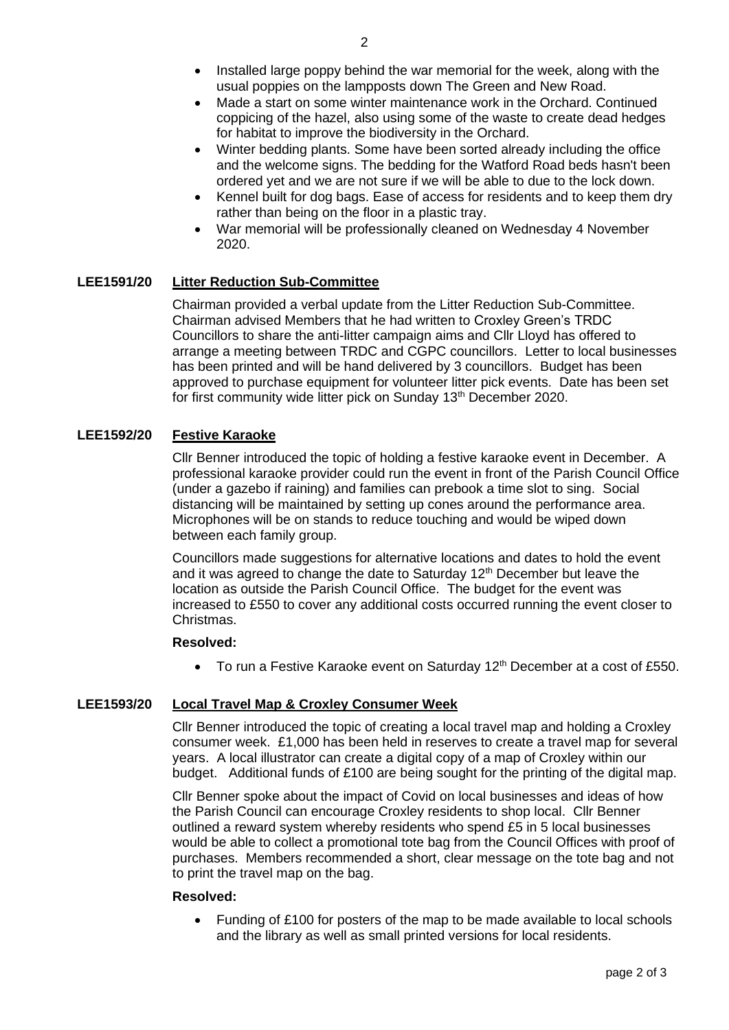- Installed large poppy behind the war memorial for the week, along with the usual poppies on the lampposts down The Green and New Road.
- Made a start on some winter maintenance work in the Orchard. Continued coppicing of the hazel, also using some of the waste to create dead hedges for habitat to improve the biodiversity in the Orchard.
- Winter bedding plants. Some have been sorted already including the office and the welcome signs. The bedding for the Watford Road beds hasn't been ordered yet and we are not sure if we will be able to due to the lock down.
- Kennel built for dog bags. Ease of access for residents and to keep them dry rather than being on the floor in a plastic tray.
- War memorial will be professionally cleaned on Wednesday 4 November 2020.

## **LEE1591/20 Litter Reduction Sub-Committee**

Chairman provided a verbal update from the Litter Reduction Sub-Committee. Chairman advised Members that he had written to Croxley Green's TRDC Councillors to share the anti-litter campaign aims and Cllr Lloyd has offered to arrange a meeting between TRDC and CGPC councillors. Letter to local businesses has been printed and will be hand delivered by 3 councillors. Budget has been approved to purchase equipment for volunteer litter pick events. Date has been set for first community wide litter pick on Sunday 13<sup>th</sup> December 2020.

## **LEE1592/20 Festive Karaoke**

Cllr Benner introduced the topic of holding a festive karaoke event in December. A professional karaoke provider could run the event in front of the Parish Council Office (under a gazebo if raining) and families can prebook a time slot to sing. Social distancing will be maintained by setting up cones around the performance area. Microphones will be on stands to reduce touching and would be wiped down between each family group.

Councillors made suggestions for alternative locations and dates to hold the event and it was agreed to change the date to Saturday  $12<sup>th</sup>$  December but leave the location as outside the Parish Council Office. The budget for the event was increased to £550 to cover any additional costs occurred running the event closer to Christmas.

#### **Resolved:**

• To run a Festive Karaoke event on Saturday 12<sup>th</sup> December at a cost of £550.

## **LEE1593/20 Local Travel Map & Croxley Consumer Week**

Cllr Benner introduced the topic of creating a local travel map and holding a Croxley consumer week. £1,000 has been held in reserves to create a travel map for several years. A local illustrator can create a digital copy of a map of Croxley within our budget. Additional funds of £100 are being sought for the printing of the digital map.

Cllr Benner spoke about the impact of Covid on local businesses and ideas of how the Parish Council can encourage Croxley residents to shop local. Cllr Benner outlined a reward system whereby residents who spend £5 in 5 local businesses would be able to collect a promotional tote bag from the Council Offices with proof of purchases. Members recommended a short, clear message on the tote bag and not to print the travel map on the bag.

#### **Resolved:**

• Funding of £100 for posters of the map to be made available to local schools and the library as well as small printed versions for local residents.